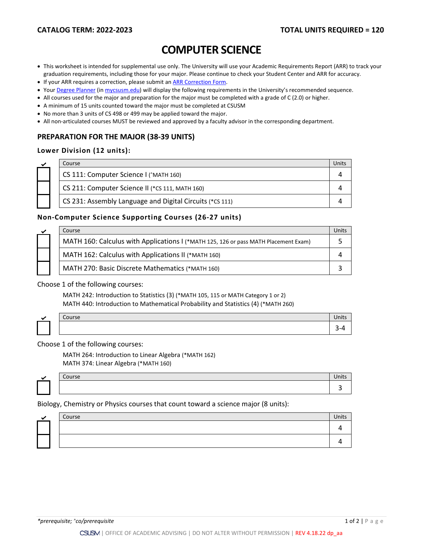# **COMPUTER SCIENCE**

- This worksheet is intended for supplemental use only. The University will use your Academic Requirements Report (ARR) to track your graduation requirements, including those for your major. Please continue to check your Student Center and ARR for accuracy.
- If your ARR requires a correction, please submit an [ARR Correction Form.](http://www.csusm.edu/academicadvising/arrcorrection/index.html)
- You[r Degree Planner](https://www.csusm.edu/academicadvising/degreeplanner/index.html) (i[n mycsusm.edu\)](https://my.csusm.edu/) will display the following requirements in the University's recommended sequence.
- All courses used for the major and preparation for the major must be completed with a grade of C (2.0) or higher.
- A minimum of 15 units counted toward the major must be completed at CSUSM
- No more than 3 units of CS 498 or 499 may be applied toward the major.
- All non-articulated courses MUST be reviewed and approved by a faculty advisor in the corresponding department.

# **PREPARATION FOR THE MAJOR (38-39 UNITS)**

### **Lower Division (12 units):**

| Course                                                   | Units |
|----------------------------------------------------------|-------|
| CS 111: Computer Science I (^MATH 160)                   |       |
| CS 211: Computer Science II (*CS 111, MATH 160)          |       |
| CS 231: Assembly Language and Digital Circuits (*CS 111) |       |

# **Non-Computer Science Supporting Courses (26-27 units)**

|  | Course                                                                              | Units |
|--|-------------------------------------------------------------------------------------|-------|
|  | MATH 160: Calculus with Applications I (*MATH 125, 126 or pass MATH Placement Exam) |       |
|  | MATH 162: Calculus with Applications II (*MATH 160)                                 |       |
|  | MATH 270: Basic Discrete Mathematics (*MATH 160)                                    |       |

#### Choose 1 of the following courses:

MATH 242: Introduction to Statistics (3) (\*MATH 105, 115 or MATH Category 1 or 2) MATH 440: Introduction to Mathematical Probability and Statistics (4) (\*MATH 260)

| $\sim$<br>$\sim$<br>CUUISE | UNILS |
|----------------------------|-------|
|                            | . .   |

Choose 1 of the following courses:

MATH 264: Introduction to Linear Algebra (\*MATH 162) MATH 374: Linear Algebra (\*MATH 160)

|  | Course | Units |
|--|--------|-------|
|  |        |       |
|  |        |       |

Biology, Chemistry or Physics courses that count toward a science major (8 units):

|  | Course | <b>Units</b> |
|--|--------|--------------|
|  |        |              |
|  |        |              |